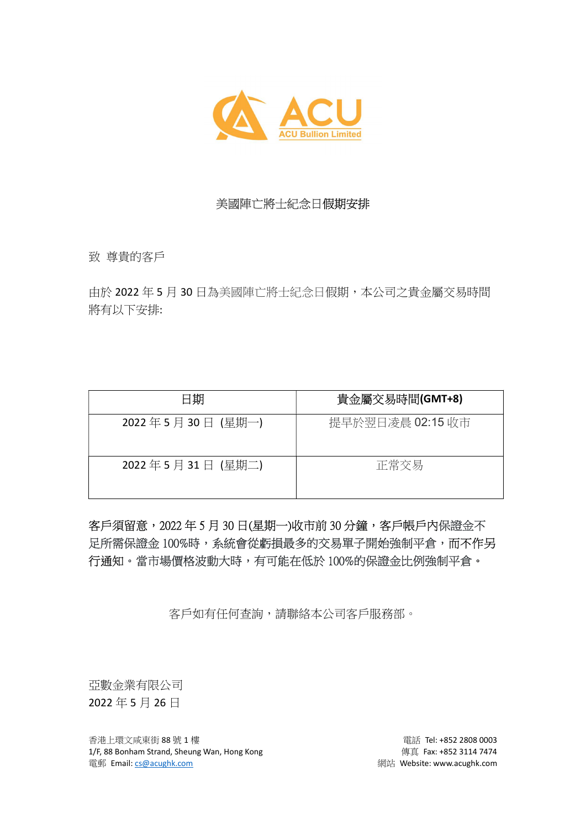

## 美國陣亡將士紀念日假期安排

致 尊貴的客戶

由於 2022 年 5 月 30 日為美國陣亡將士紀念日假期,本公司之貴金屬交易時間 將有以下安排:

| 日期               | 貴金屬交易時間(GMT+8)   |
|------------------|------------------|
| 2022年5月30日(星期一)  | 提早於翌日凌晨 02:15 收市 |
| 2022年5月31日 (星期二) | 正常交易             |

客戶須留意,2022年5月30日(星期一)收市前30分鐘,客戶帳戶內保證金不 足所需保證金 100%時,系統會從虧損最多的交易單子開始強制平倉,而不作另 行通知。當市場價格波動大時,有可能在低於 100%的保證金比例強制平倉。

客戶如有任何查詢,請聯絡本公司客戶服務部。

亞數金業有限公司 2022 年 5 月 26 日

香港上環文咸東街 88 號 1 樓 **電話 Tel: +852 2808 0003** 1/F, 88 Bonham Strand, Sheung Wan, Hong Kong extending the state of the quality quality of the state of 114 7474 電郵 Email: cs@acughk.com 網站 Website: www.acughk.com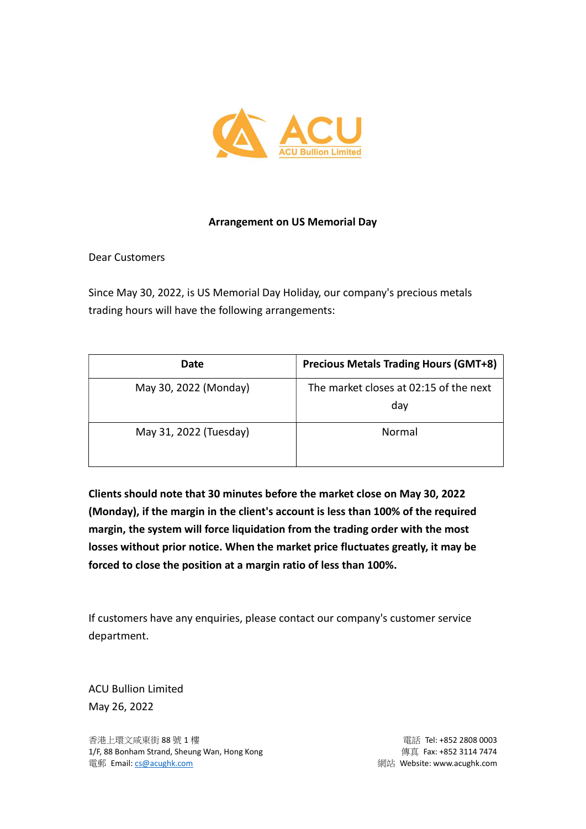

## Arrangement on US Memorial Day

Dear Customers

Since May 30, 2022, is US Memorial Day Holiday, our company's precious metals trading hours will have the following arrangements:

| Date                   | <b>Precious Metals Trading Hours (GMT+8)</b>  |
|------------------------|-----------------------------------------------|
| May 30, 2022 (Monday)  | The market closes at 02:15 of the next<br>dav |
| May 31, 2022 (Tuesday) | Normal                                        |

Clients should note that 30 minutes before the market close on May 30, 2022 (Monday), if the margin in the client's account is less than 100% of the required margin, the system will force liquidation from the trading order with the most losses without prior notice. When the market price fluctuates greatly, it may be forced to close the position at a margin ratio of less than 100%.

If customers have any enquiries, please contact our company's customer service department.

ACU Bullion Limited May 26, 2022

香港上環文咸東街 88 號 1 樓 電話 Tel: +852 2808 0003 1/F, 88 Bonham Strand, Sheung Wan, Hong Kong extending the state of the quality quality of the state of 114 7474 電郵 Email: <u>cs@acughk.com</u> 網站 Website: www.acughk.com